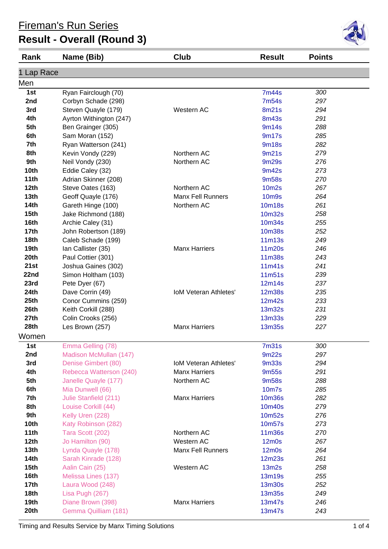## **Result - Overall (Round 3)**

| Rank             | Name (Bib)              | Club                         | <b>Result</b>     | <b>Points</b> |  |
|------------------|-------------------------|------------------------------|-------------------|---------------|--|
| 1 Lap Race       |                         |                              |                   |               |  |
| Men              |                         |                              |                   |               |  |
| 1st              | Ryan Fairclough (70)    |                              | <b>7m44s</b>      | 300           |  |
| 2nd              | Corbyn Schade (298)     |                              | 7m54s             | 297           |  |
| 3rd              | Steven Quayle (179)     | Western AC                   | 8m21s             | 294           |  |
| 4th              | Ayrton Withington (247) |                              | <b>8m43s</b>      | 291           |  |
| 5th              | Ben Grainger (305)      |                              | 9m14s             | 288           |  |
| 6th              | Sam Moran (152)         |                              | 9m17s             | 285           |  |
| 7th              | Ryan Watterson (241)    |                              | <b>9m18s</b>      | 282           |  |
| 8th              | Kevin Vondy (229)       | Northern AC                  | 9m21s             | 279           |  |
| 9th              | Neil Vondy (230)        | Northern AC                  | 9m29s             | 276           |  |
| 10th             | Eddie Caley (32)        |                              | 9m42s             | 273           |  |
| 11th             | Adrian Skinner (208)    |                              | 9m58s             | 270           |  |
| 12th             | Steve Oates (163)       | Northern AC                  | <b>10m2s</b>      | 267           |  |
| 13 <sub>th</sub> | Geoff Quayle (176)      | <b>Manx Fell Runners</b>     | <b>10m9s</b>      | 264           |  |
| <b>14th</b>      | Gareth Hinge (100)      | Northern AC                  | 10m18s            | 261           |  |
| 15 <sub>th</sub> | Jake Richmond (188)     |                              | 10m32s            | 258           |  |
| 16th             | Archie Caley (31)       |                              | 10m34s            | 255           |  |
| 17 <sub>th</sub> | John Robertson (189)    |                              | <b>10m38s</b>     | 252           |  |
| <b>18th</b>      | Caleb Schade (199)      |                              | 11m13s            | 249           |  |
| 19th             | Ian Callister (35)      | <b>Manx Harriers</b>         | 11m20s            | 246           |  |
| 20th             | Paul Cottier (301)      |                              | <b>11m38s</b>     | 243           |  |
| 21st             | Joshua Gaines (302)     |                              | 11m41s            | 241           |  |
| 22nd             | Simon Holtham (103)     |                              | 11m51s            | 239           |  |
| 23rd             | Pete Dyer (67)          |                              | 12m14s            | 237           |  |
| 24th             | Dave Corrin (49)        | <b>IoM Veteran Athletes'</b> | <b>12m38s</b>     | 235           |  |
| 25th             | Conor Cummins (259)     |                              | 12m42s            | 233           |  |
| 26th             | Keith Corkill (288)     |                              | 13m32s            | 231           |  |
| 27th             | Colin Crooks (256)      |                              | 13m33s            | 229           |  |
| 28th             | Les Brown (257)         | <b>Manx Harriers</b>         | <b>13m35s</b>     | 227           |  |
| Women            |                         |                              |                   |               |  |
| 1st              | Emma Gelling (78)       |                              | 7 <sub>m31s</sub> | 300           |  |
| 2nd              | Madison McMullan (147)  |                              | 9m22s             | 297           |  |
| 3rd              | Denise Gimbert (80)     | <b>IoM Veteran Athletes'</b> | <b>9m33s</b>      | 294           |  |
| 4th              | Rebecca Watterson (240) | <b>Manx Harriers</b>         | 9m <sub>55s</sub> | 291           |  |
| 5th              | Janelle Quayle (177)    | Northern AC                  | 9m58s             | 288           |  |
| 6th              | Mia Dunwell (66)        |                              | 10m7s             | 285           |  |
| 7th              | Julie Stanfield (211)   | <b>Manx Harriers</b>         | 10m36s            | 282           |  |
| 8th              | Louise Corkill (44)     |                              | 10m40s            | 279           |  |
| 9th              | Kelly Uren (228)        |                              | 10m52s            | 276           |  |
| 10th             | Katy Robinson (282)     |                              | 10m57s            | 273           |  |
| 11th             | Tara Scott (202)        | Northern AC                  | 11m36s            | 270           |  |
| 12th             | Jo Hamilton (90)        | Western AC                   | $12m$ Os          | 267           |  |
| 13th             | Lynda Quayle (178)      | <b>Manx Fell Runners</b>     | $12m$ 0s          | 264           |  |
| <b>14th</b>      | Sarah Kinrade (128)     |                              | 12m23s            | 261           |  |
| 15 <sub>th</sub> | Aalin Cain (25)         | Western AC                   | 13m2s             | 258           |  |
| 16th             | Melissa Lines (137)     |                              | 13m19s            | 255           |  |
| <b>17th</b>      | Laura Wood (248)        |                              | 13m30s            | 252           |  |
| 18th             | Lisa Pugh (267)         |                              | 13m35s            | 249           |  |
| 19th             | Diane Brown (398)       | <b>Manx Harriers</b>         | 13m47s            | 246           |  |
| 20th             | Gemma Quilliam (181)    |                              | 13m47s            | 243           |  |

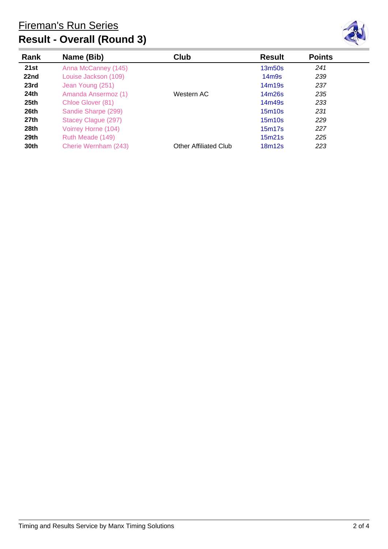



| Rank             | Name (Bib)           | Club                  | <b>Result</b>                   | <b>Points</b> |  |
|------------------|----------------------|-----------------------|---------------------------------|---------------|--|
| 21st             | Anna McCanney (145)  |                       | 13 <sub>m50s</sub>              | 241           |  |
| 22nd             | Louise Jackson (109) |                       | 14 <sub>m</sub> 9 <sub>s</sub>  | 239           |  |
| 23rd             | Jean Young (251)     |                       | 14m19s                          | 237           |  |
| 24th             | Amanda Ansermoz (1)  | Western AC            | 14m26s                          | 235           |  |
| 25 <sub>th</sub> | Chloe Glover (81)    |                       | 14m49s                          | 233           |  |
| 26th             | Sandie Sharpe (299)  |                       | 15 <sub>m</sub> 10 <sub>s</sub> | 231           |  |
| 27th             | Stacey Clague (297)  |                       | 15 <sub>m</sub> 10 <sub>s</sub> | 229           |  |
| 28th             | Voirrey Horne (104)  |                       | 15m17s                          | 227           |  |
| 29th             | Ruth Meade (149)     |                       | 15m21s                          | 225           |  |
| 30th             | Cherie Wernham (243) | Other Affiliated Club | 18m12s                          | 223           |  |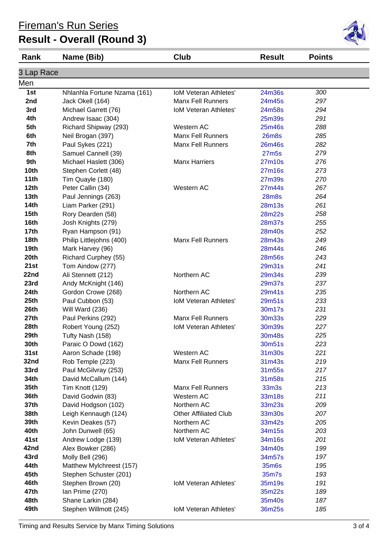# **Result - Overall (Round 3)**

| Rank             | Name (Bib)                   | Club                         | <b>Result</b> | <b>Points</b> |  |
|------------------|------------------------------|------------------------------|---------------|---------------|--|
| 3 Lap Race       |                              |                              |               |               |  |
| Men              |                              |                              |               |               |  |
| 1st              | Nhlanhla Fortune Nzama (161) | <b>IoM Veteran Athletes'</b> | 24m36s        | 300           |  |
| 2nd              | Jack Okell (164)             | <b>Manx Fell Runners</b>     | 24m45s        | 297           |  |
| 3rd              | Michael Garrett (76)         | IoM Veteran Athletes'        | 24m58s        | 294           |  |
| 4th              | Andrew Isaac (304)           |                              | 25m39s        | 291           |  |
| 5th              | Richard Shipway (293)        | Western AC                   | 25m46s        | 288           |  |
| 6th              | Neil Brogan (397)            | <b>Manx Fell Runners</b>     | <b>26m8s</b>  | 285           |  |
| 7th              | Paul Sykes (221)             | <b>Manx Fell Runners</b>     | 26m46s        | 282           |  |
| 8th              | Samuel Cannell (39)          |                              | 27m5s         | 279           |  |
| 9th              | Michael Haslett (306)        | <b>Manx Harriers</b>         | 27m10s        | 276           |  |
| 10th             | Stephen Corlett (48)         |                              | 27m16s        | 273           |  |
| 11th             | Tim Quayle (180)             |                              | 27m39s        | 270           |  |
| 12th             | Peter Callin (34)            | Western AC                   | 27m44s        | 267           |  |
| 13 <sub>th</sub> | Paul Jennings (263)          |                              | <b>28m8s</b>  | 264           |  |
| 14th             | Liam Parker (291)            |                              | 28m13s        | 261           |  |
| 15 <sub>th</sub> | Rory Dearden (58)            |                              | 28m22s        | 258           |  |
| 16th             | Josh Knights (279)           |                              | 28m37s        | 255           |  |
| 17 <sub>th</sub> | Ryan Hampson (91)            |                              | 28m40s        | 252           |  |
| 18th             | Philip Littlejohns (400)     | <b>Manx Fell Runners</b>     | 28m43s        | 249           |  |
| 19 <sub>th</sub> | Mark Harvey (96)             |                              | 28m44s        | 246           |  |
| 20th             | Richard Curphey (55)         |                              | 28m56s        | 243           |  |
| 21st             | Tom Aindow (277)             |                              | 29m31s        | 241           |  |
| 22nd             | Ali Stennett (212)           | Northern AC                  | 29m34s        | 239           |  |
| 23rd             | Andy McKnight (146)          |                              | 29m37s        | 237           |  |
| 24th             | Gordon Crowe (268)           | Northern AC                  | 29m41s        | 235           |  |
| 25th             | Paul Cubbon (53)             | <b>IoM Veteran Athletes'</b> | 29m51s        | 233           |  |
| 26th             | Will Ward (236)              |                              | 30m17s        | 231           |  |
| 27th             | Paul Perkins (292)           | <b>Manx Fell Runners</b>     | 30m33s        | 229           |  |
| 28th             | Robert Young (252)           | <b>IoM Veteran Athletes'</b> | 30m39s        | 227           |  |
| 29th             | Tufty Nash (158)             |                              | 30m48s        | 225           |  |
| 30th             | Paraic O Dowd (162)          |                              | 30m51s        | 223           |  |
| 31st             | Aaron Schade (198)           | Western AC                   | 31m30s        | 221           |  |
| 32nd             | Rob Temple (223)             | <b>Manx Fell Runners</b>     | 31m43s        | 219           |  |
| 33rd             | Paul McGilvray (253)         |                              | 31m55s        | 217           |  |
| 34th             | David McCallum (144)         |                              | 31m58s        | 215           |  |
| 35th             | Tim Knott (129)              | <b>Manx Fell Runners</b>     | 33m3s         | 213           |  |
| 36th             | David Godwin (83)            | Western AC                   | 33m18s        | 211           |  |
| 37th             | David Hodgson (102)          | Northern AC                  | 33m23s        | 209           |  |
| 38th             | Leigh Kennaugh (124)         | <b>Other Affiliated Club</b> | 33m30s        | 207           |  |
| 39th             | Kevin Deakes (57)            | Northern AC                  | 33m42s        | 205           |  |
| 40th             | John Dunwell (65)            | Northern AC                  | 34m15s        | 203           |  |
| 41st             | Andrew Lodge (139)           | <b>IoM Veteran Athletes'</b> | 34m16s        | 201           |  |
| 42nd             | Alex Bowker (286)            |                              | 34m40s        | 199           |  |
| 43rd             | Molly Bell (296)             |                              | 34m57s        | 197           |  |
| 44th             | Matthew Mylchreest (157)     |                              | 35m6s         | 195           |  |
| 45th             | Stephen Schuster (201)       |                              | 35m7s         | 193           |  |
| 46th             | Stephen Brown (20)           | <b>IoM Veteran Athletes'</b> | 35m19s        | 191           |  |
| 47th             | Ian Prime (270)              |                              | 35m22s        | 189           |  |
| 48th             | Shane Larkin (284)           |                              | 35m40s        | 187           |  |
| 49th             | Stephen Willmott (245)       | IoM Veteran Athletes'        | 36m25s        | 185           |  |